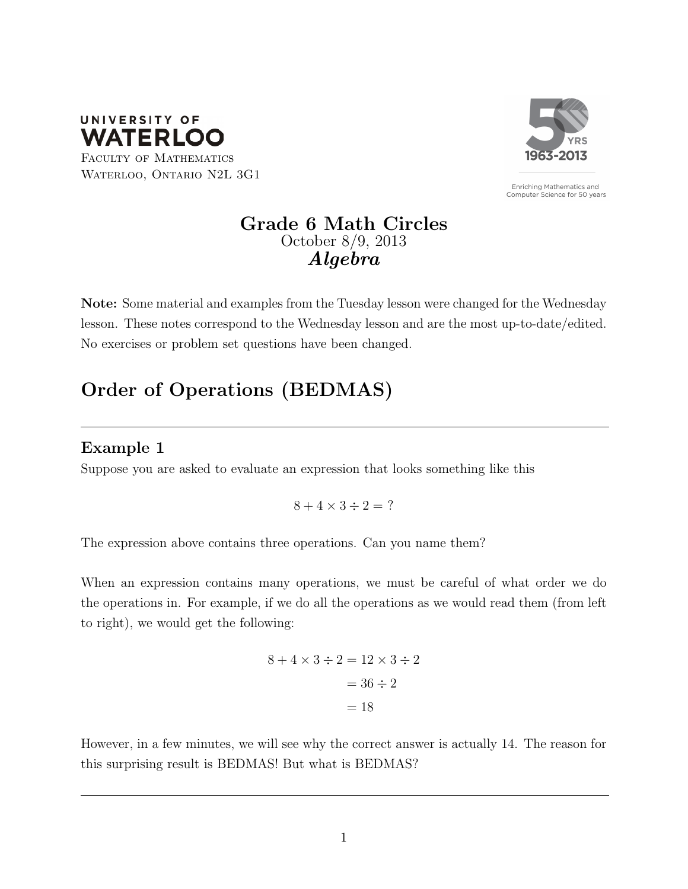

FACULTY OF MATHEMATICS WATERLOO, ONTARIO N2L 3G1



Enriching Mathematics and Computer Science for 50 years

## Grade 6 Math Circles October 8/9, 2013 Algebra

Note: Some material and examples from the Tuesday lesson were changed for the Wednesday lesson. These notes correspond to the Wednesday lesson and are the most up-to-date/edited. No exercises or problem set questions have been changed.

# Order of Operations (BEDMAS)

### Example 1

Suppose you are asked to evaluate an expression that looks something like this

 $8 + 4 \times 3 \div 2 = ?$ 

The expression above contains three operations. Can you name them?

When an expression contains many operations, we must be careful of what order we do the operations in. For example, if we do all the operations as we would read them (from left to right), we would get the following:

$$
8 + 4 \times 3 \div 2 = 12 \times 3 \div 2
$$

$$
= 36 \div 2
$$

$$
= 18
$$

However, in a few minutes, we will see why the correct answer is actually 14. The reason for this surprising result is BEDMAS! But what is BEDMAS?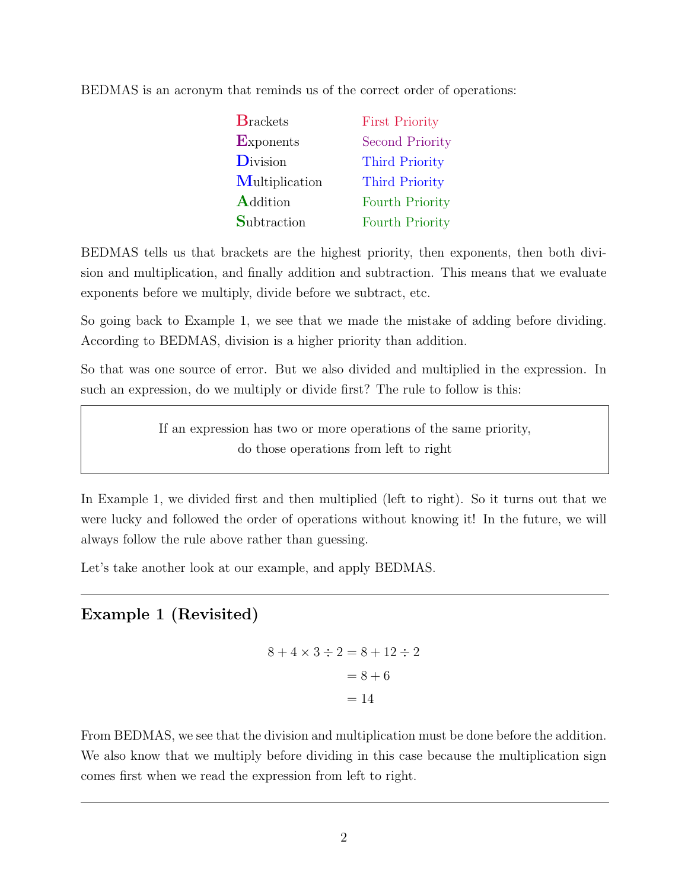BEDMAS is an acronym that reminds us of the correct order of operations:

| <b>B</b> rackets   | <b>First Priority</b>  |
|--------------------|------------------------|
| <b>Exponents</b>   | <b>Second Priority</b> |
| <b>D</b> ivision   | <b>Third Priority</b>  |
| Multiplication     | <b>Third Priority</b>  |
| <b>Addition</b>    | <b>Fourth Priority</b> |
| <b>Subtraction</b> | <b>Fourth Priority</b> |

BEDMAS tells us that brackets are the highest priority, then exponents, then both division and multiplication, and finally addition and subtraction. This means that we evaluate exponents before we multiply, divide before we subtract, etc.

So going back to Example 1, we see that we made the mistake of adding before dividing. According to BEDMAS, division is a higher priority than addition.

So that was one source of error. But we also divided and multiplied in the expression. In such an expression, do we multiply or divide first? The rule to follow is this:

> If an expression has two or more operations of the same priority, do those operations from left to right

In Example 1, we divided first and then multiplied (left to right). So it turns out that we were lucky and followed the order of operations without knowing it! In the future, we will always follow the rule above rather than guessing.

Let's take another look at our example, and apply BEDMAS.

# Example 1 (Revisited)

$$
8 + 4 \times 3 \div 2 = 8 + 12 \div 2
$$

$$
= 8 + 6
$$

$$
= 14
$$

From BEDMAS, we see that the division and multiplication must be done before the addition. We also know that we multiply before dividing in this case because the multiplication sign comes first when we read the expression from left to right.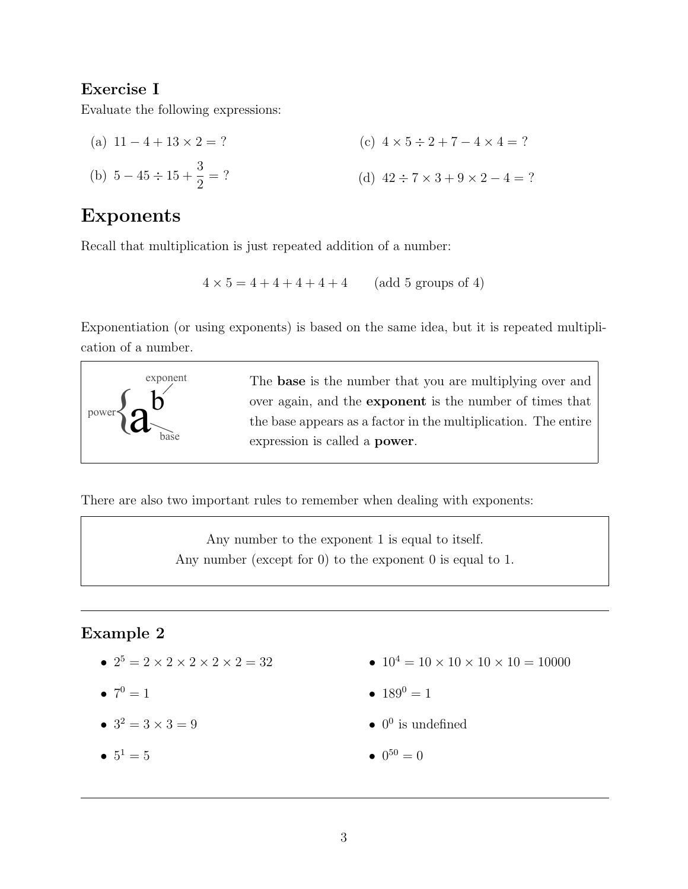### Exercise I

Evaluate the following expressions:

(a)  $11 - 4 + 13 \times 2 = ?$ (b)  $5 - 45 \div 15 + \frac{3}{2}$ 2  $=$  ? (c)  $4 \times 5 \div 2 + 7 - 4 \times 4 = ?$ (d)  $42 \div 7 \times 3 + 9 \times 2 - 4 = ?$ 

# Exponents

Recall that multiplication is just repeated addition of a number:

$$
4 \times 5 = 4 + 4 + 4 + 4 + 4
$$
 (add 5 groups of 4)

Exponentiation (or using exponents) is based on the same idea, but it is repeated multiplication of a number.



There are also two important rules to remember when dealing with exponents:

Any number to the exponent 1 is equal to itself. Any number (except for 0) to the exponent 0 is equal to 1.

### Example 2

- $2^5 = 2 \times 2 \times 2 \times 2 \times 2 = 32$
- $7^0 = 1$
- $3^2 = 3 \times 3 = 9$
- $5^1 = 5$
- $10^4 = 10 \times 10 \times 10 \times 10 = 10000$
- $189^0 = 1$
- $\bullet$  0<sup>0</sup> is undefined
- $0^{50} = 0$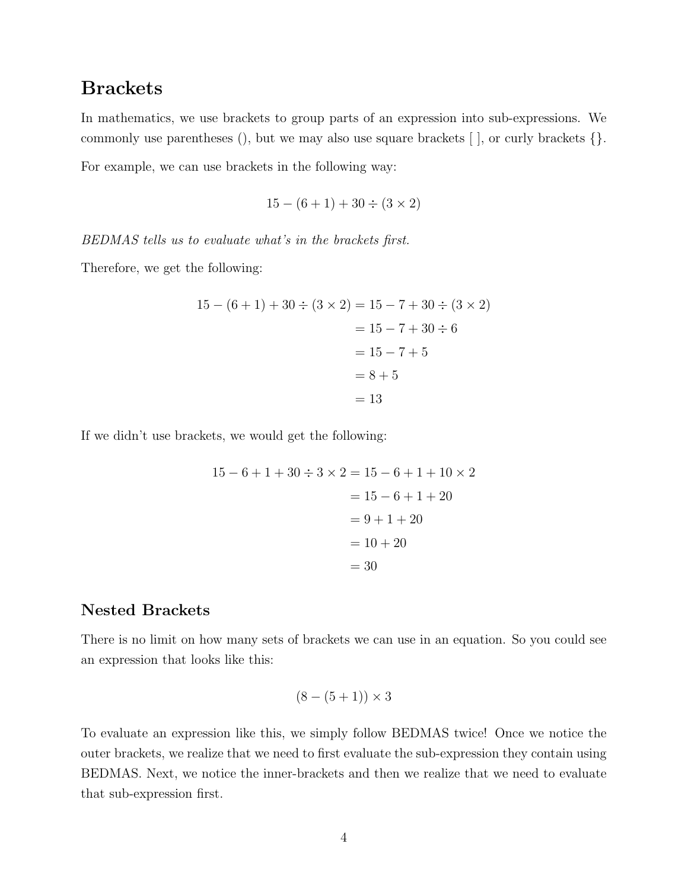# **Brackets**

In mathematics, we use brackets to group parts of an expression into sub-expressions. We commonly use parentheses (), but we may also use square brackets [ ], or curly brackets {}. For example, we can use brackets in the following way:

$$
15 - (6 + 1) + 30 \div (3 \times 2)
$$

BEDMAS tells us to evaluate what's in the brackets first.

Therefore, we get the following:

$$
15 - (6 + 1) + 30 \div (3 \times 2) = 15 - 7 + 30 \div (3 \times 2)
$$
  
= 15 - 7 + 30 \div 6  
= 15 - 7 + 5  
= 8 + 5  
= 13

If we didn't use brackets, we would get the following:

$$
15 - 6 + 1 + 30 \div 3 \times 2 = 15 - 6 + 1 + 10 \times 2
$$
  
= 15 - 6 + 1 + 20  
= 9 + 1 + 20  
= 10 + 20  
= 30

#### Nested Brackets

There is no limit on how many sets of brackets we can use in an equation. So you could see an expression that looks like this:

$$
(8 - (5 + 1)) \times 3
$$

To evaluate an expression like this, we simply follow BEDMAS twice! Once we notice the outer brackets, we realize that we need to first evaluate the sub-expression they contain using BEDMAS. Next, we notice the inner-brackets and then we realize that we need to evaluate that sub-expression first.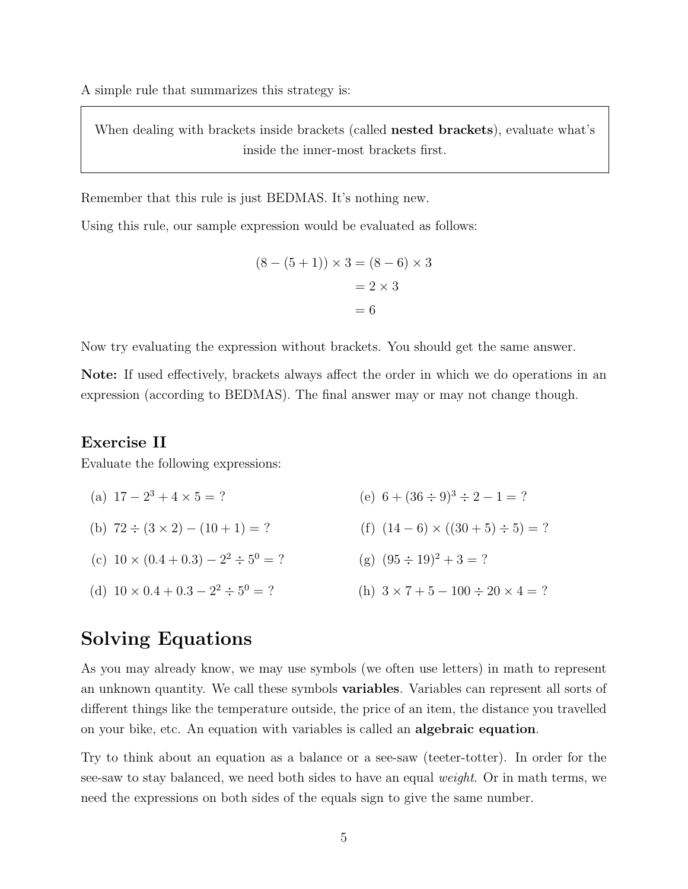A simple rule that summarizes this strategy is:

When dealing with brackets inside brackets (called **nested brackets**), evaluate what's inside the inner-most brackets first.

Remember that this rule is just BEDMAS. It's nothing new.

Using this rule, our sample expression would be evaluated as follows:

$$
(8 - (5 + 1)) \times 3 = (8 - 6) \times 3
$$
  
= 2 \times 3  
= 6

Now try evaluating the expression without brackets. You should get the same answer.

Note: If used effectively, brackets always affect the order in which we do operations in an expression (according to BEDMAS). The final answer may or may not change though.

#### Exercise II

Evaluate the following expressions:

- (a)  $17 2^3 + 4 \times 5 = ?$ (b)  $72 \div (3 \times 2) - (10 + 1) = ?$ (c)  $10 \times (0.4 + 0.3) - 2^2 \div 5^0 = ?$ (e)  $6 + (36 \div 9)^3 \div 2 - 1 = ?$ (f)  $(14-6) \times ((30+5) \div 5) = ?$ (g)  $(95 \div 19)^2 + 3 = ?$
- (d)  $10 \times 0.4 + 0.3 2^2 \div 5^0 = ?$ (h)  $3 \times 7 + 5 - 100 \div 20 \times 4 = ?$

# Solving Equations

As you may already know, we may use symbols (we often use letters) in math to represent an unknown quantity. We call these symbols variables. Variables can represent all sorts of different things like the temperature outside, the price of an item, the distance you travelled on your bike, etc. An equation with variables is called an algebraic equation.

Try to think about an equation as a balance or a see-saw (teeter-totter). In order for the see-saw to stay balanced, we need both sides to have an equal weight. Or in math terms, we need the expressions on both sides of the equals sign to give the same number.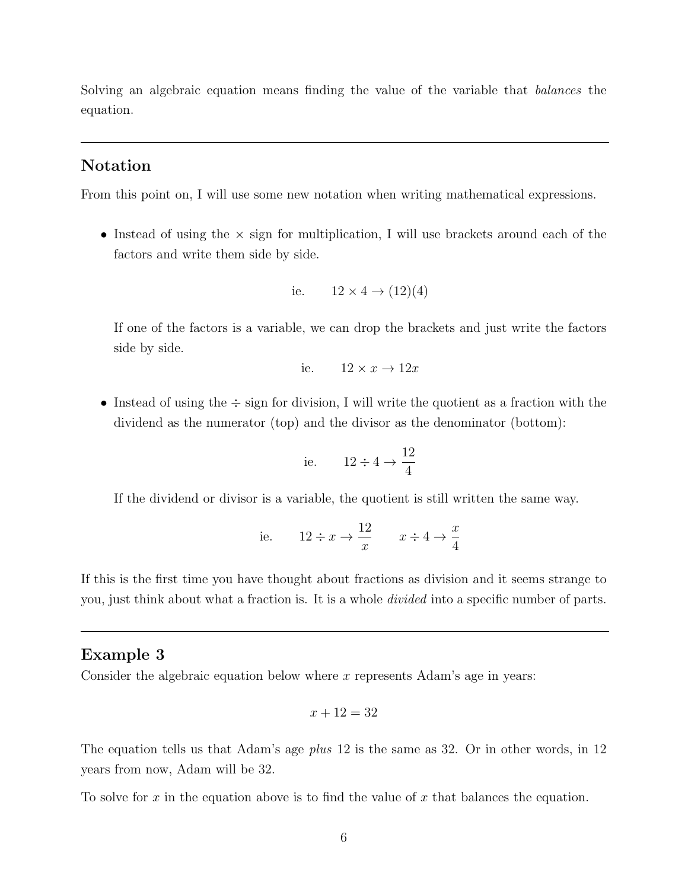Solving an algebraic equation means finding the value of the variable that balances the equation.

### Notation

From this point on, I will use some new notation when writing mathematical expressions.

• Instead of using the  $\times$  sign for multiplication, I will use brackets around each of the factors and write them side by side.

i.e. 
$$
12 \times 4 \rightarrow (12)(4)
$$

If one of the factors is a variable, we can drop the brackets and just write the factors side by side.

i.e. 
$$
12 \times x \rightarrow 12x
$$

• Instead of using the  $\div$  sign for division, I will write the quotient as a fraction with the dividend as the numerator (top) and the divisor as the denominator (bottom):

i.e. 
$$
12 \div 4 \rightarrow \frac{12}{4}
$$

If the dividend or divisor is a variable, the quotient is still written the same way.

i.e. 
$$
12 \div x \to \frac{12}{x}
$$
  $x \div 4 \to \frac{x}{4}$ 

If this is the first time you have thought about fractions as division and it seems strange to you, just think about what a fraction is. It is a whole *divided* into a specific number of parts.

#### Example 3

Consider the algebraic equation below where x represents Adam's age in years:

$$
x + 12 = 32
$$

The equation tells us that Adam's age *plus* 12 is the same as 32. Or in other words, in 12 years from now, Adam will be 32.

To solve for x in the equation above is to find the value of x that balances the equation.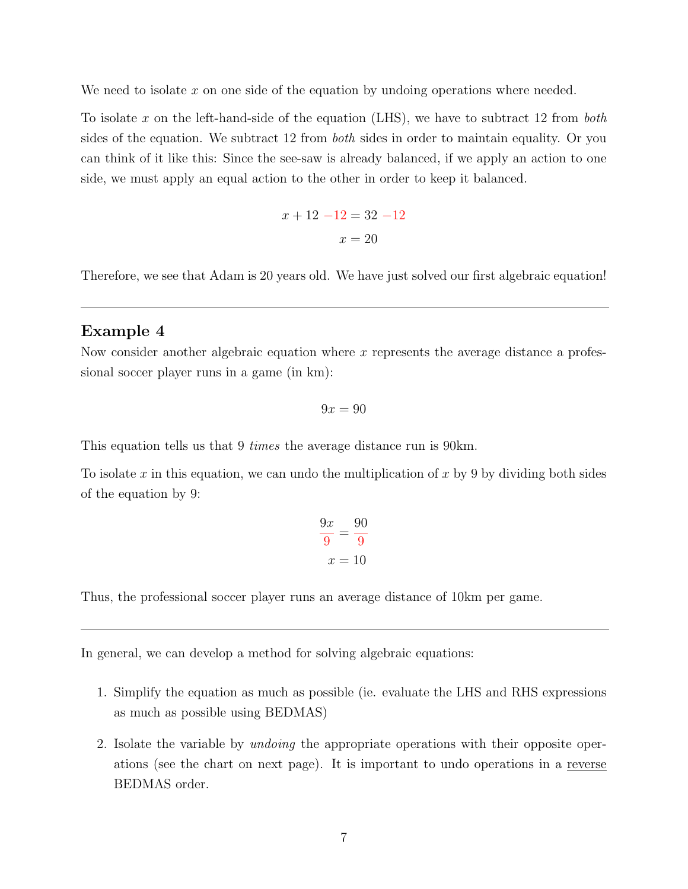We need to isolate  $x$  on one side of the equation by undoing operations where needed.

To isolate x on the left-hand-side of the equation (LHS), we have to subtract 12 from *both* sides of the equation. We subtract 12 from both sides in order to maintain equality. Or you can think of it like this: Since the see-saw is already balanced, if we apply an action to one side, we must apply an equal action to the other in order to keep it balanced.

$$
x + 12 - 12 = 32 - 12
$$

$$
x = 20
$$

Therefore, we see that Adam is 20 years old. We have just solved our first algebraic equation!

#### Example 4

Now consider another algebraic equation where  $x$  represents the average distance a professional soccer player runs in a game (in km):

$$
9x = 90
$$

This equation tells us that 9 *times* the average distance run is 90km.

To isolate x in this equation, we can undo the multiplication of x by 9 by dividing both sides of the equation by 9:

$$
\frac{9x}{9} = \frac{90}{9}
$$

$$
x = 10
$$

Thus, the professional soccer player runs an average distance of 10km per game.

In general, we can develop a method for solving algebraic equations:

- 1. Simplify the equation as much as possible (ie. evaluate the LHS and RHS expressions as much as possible using BEDMAS)
- 2. Isolate the variable by *undoing* the appropriate operations with their opposite operations (see the chart on next page). It is important to undo operations in a reverse BEDMAS order.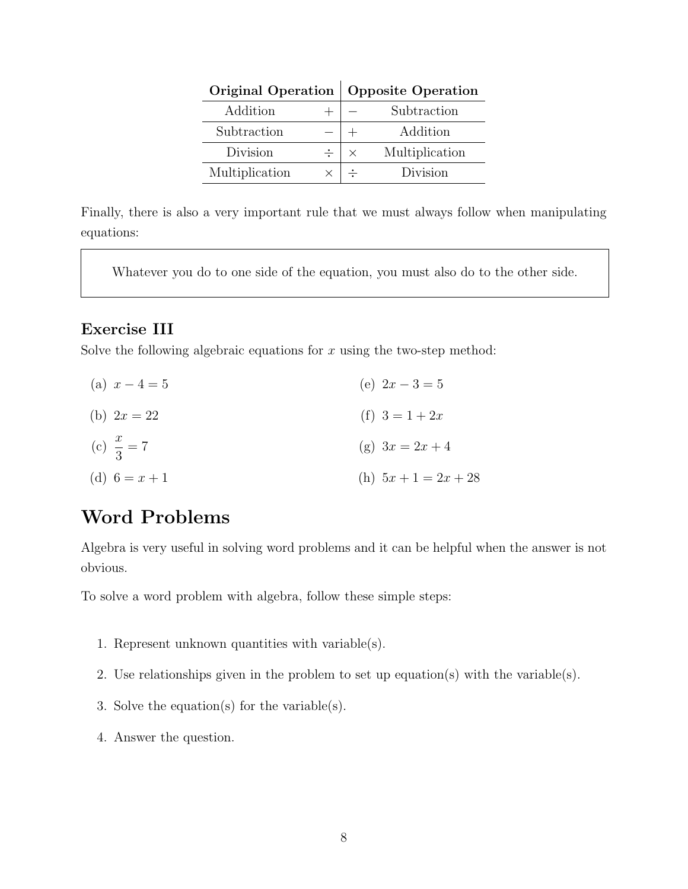|                |  | Original Operation   Opposite Operation |                |
|----------------|--|-----------------------------------------|----------------|
| Addition       |  |                                         | Subtraction    |
| Subtraction    |  |                                         | Addition       |
| Division<br>÷  |  | $\times$                                | Multiplication |
| Multiplication |  |                                         | Division       |

Finally, there is also a very important rule that we must always follow when manipulating equations:

Whatever you do to one side of the equation, you must also do to the other side.

#### Exercise III

Solve the following algebraic equations for  $x$  using the two-step method:

| (a) $x-4=5$           | (e) $2x-3=5$           |
|-----------------------|------------------------|
| (b) $2x = 22$         | (f) $3 = 1 + 2x$       |
| (c) $\frac{x}{3} = 7$ | (g) $3x = 2x + 4$      |
| (d) $6 = x + 1$       | (h) $5x + 1 = 2x + 28$ |

# Word Problems

Algebra is very useful in solving word problems and it can be helpful when the answer is not obvious.

To solve a word problem with algebra, follow these simple steps:

- 1. Represent unknown quantities with variable(s).
- 2. Use relationships given in the problem to set up equation(s) with the variable(s).
- 3. Solve the equation(s) for the variable(s).
- 4. Answer the question.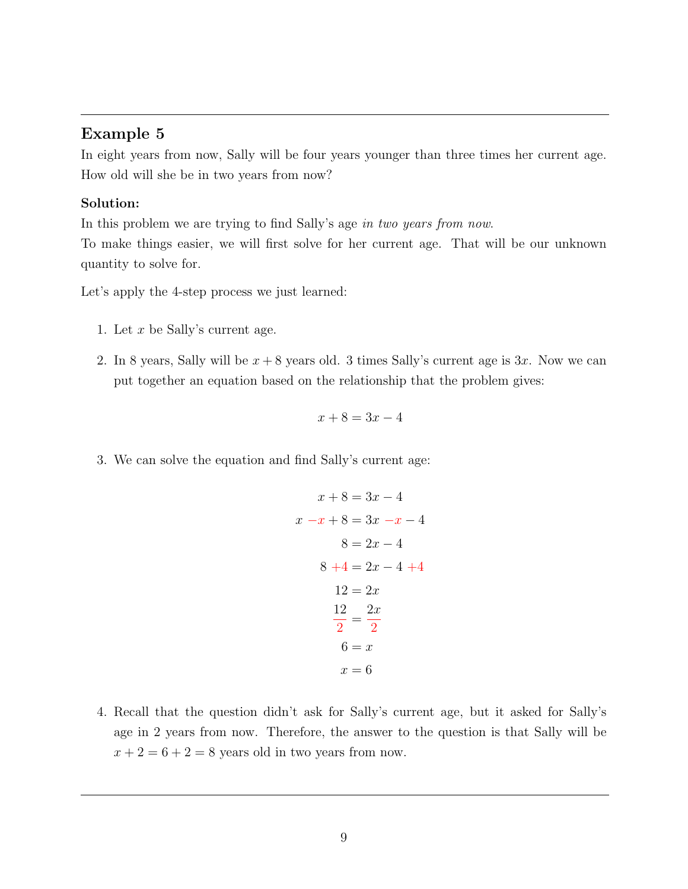### Example 5

In eight years from now, Sally will be four years younger than three times her current age. How old will she be in two years from now?

#### Solution:

In this problem we are trying to find Sally's age in two years from now.

To make things easier, we will first solve for her current age. That will be our unknown quantity to solve for.

Let's apply the 4-step process we just learned:

- 1. Let x be Sally's current age.
- 2. In 8 years, Sally will be  $x + 8$  years old. 3 times Sally's current age is 3x. Now we can put together an equation based on the relationship that the problem gives:

$$
x + 8 = 3x - 4
$$

3. We can solve the equation and find Sally's current age:

$$
x + 8 = 3x - 4
$$
  
\n
$$
x - x + 8 = 3x - x - 4
$$
  
\n
$$
8 = 2x - 4
$$
  
\n
$$
8 + 4 = 2x - 4 + 4
$$
  
\n
$$
12 = 2x
$$
  
\n
$$
\frac{12}{2} = \frac{2x}{2}
$$
  
\n
$$
6 = x
$$
  
\n
$$
x = 6
$$

4. Recall that the question didn't ask for Sally's current age, but it asked for Sally's age in 2 years from now. Therefore, the answer to the question is that Sally will be  $x + 2 = 6 + 2 = 8$  years old in two years from now.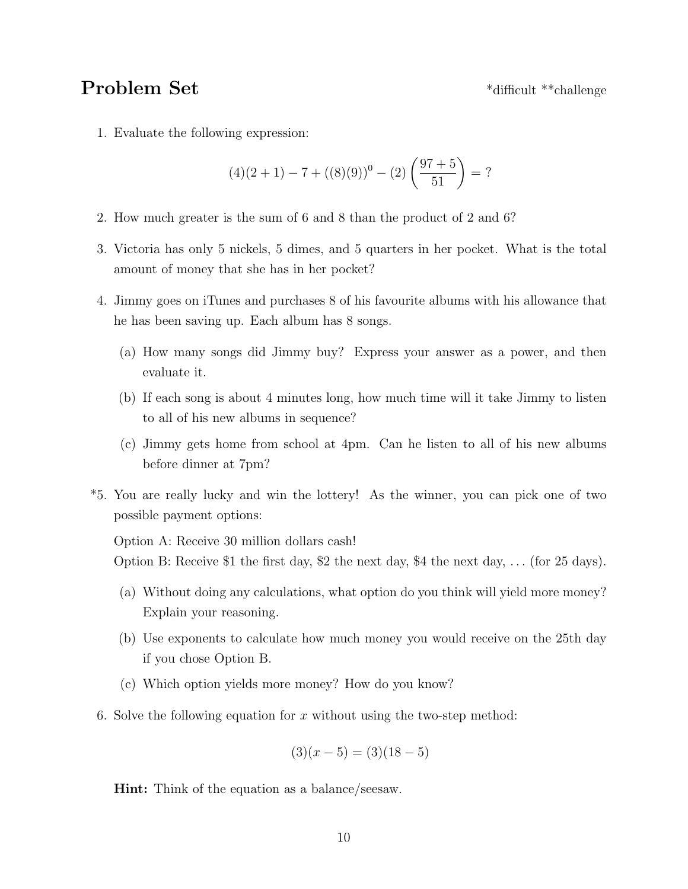# Problem Set  $*$ difficult \*\*challenge

1. Evaluate the following expression:

$$
(4)(2+1) - 7 + ((8)(9))^0 - (2)\left(\frac{97+5}{51}\right) = ?
$$

- 2. How much greater is the sum of 6 and 8 than the product of 2 and 6?
- 3. Victoria has only 5 nickels, 5 dimes, and 5 quarters in her pocket. What is the total amount of money that she has in her pocket?
- 4. Jimmy goes on iTunes and purchases 8 of his favourite albums with his allowance that he has been saving up. Each album has 8 songs.
	- (a) How many songs did Jimmy buy? Express your answer as a power, and then evaluate it.
	- (b) If each song is about 4 minutes long, how much time will it take Jimmy to listen to all of his new albums in sequence?
	- (c) Jimmy gets home from school at 4pm. Can he listen to all of his new albums before dinner at 7pm?
- \*5. You are really lucky and win the lottery! As the winner, you can pick one of two possible payment options:

Option A: Receive 30 million dollars cash!

Option B: Receive \$1 the first day, \$2 the next day, \$4 the next day, ... (for 25 days).

- (a) Without doing any calculations, what option do you think will yield more money? Explain your reasoning.
- (b) Use exponents to calculate how much money you would receive on the 25th day if you chose Option B.
- (c) Which option yields more money? How do you know?
- 6. Solve the following equation for x without using the two-step method:

$$
(3)(x-5) = (3)(18-5)
$$

Hint: Think of the equation as a balance/seesaw.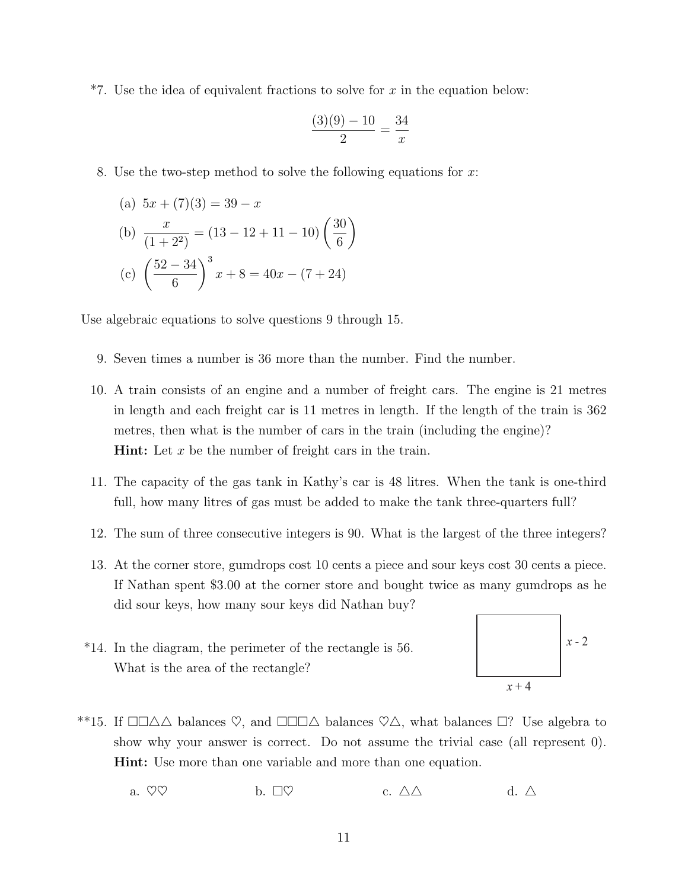$*7.$  Use the idea of equivalent fractions to solve for x in the equation below:

$$
\frac{(3)(9) - 10}{2} = \frac{34}{x}
$$

8. Use the two-step method to solve the following equations for  $x$ :

(a) 
$$
5x + (7)(3) = 39 - x
$$
  
\n(b)  $\frac{x}{(1+2^2)} = (13 - 12 + 11 - 10) \left(\frac{30}{6}\right)$   
\n(c)  $\left(\frac{52 - 34}{6}\right)^3 x + 8 = 40x - (7 + 24)$ 

Use algebraic equations to solve questions 9 through 15.

- 9. Seven times a number is 36 more than the number. Find the number.
- 10. A train consists of an engine and a number of freight cars. The engine is 21 metres in length and each freight car is 11 metres in length. If the length of the train is 362 metres, then what is the number of cars in the train (including the engine)? **Hint:** Let  $x$  be the number of freight cars in the train.
- 11. The capacity of the gas tank in Kathy's car is 48 litres. When the tank is one-third full, how many litres of gas must be added to make the tank three-quarters full?
- 12. The sum of three consecutive integers is 90. What is the largest of the three integers?
- 13. At the corner store, gumdrops cost 10 cents a piece and sour keys cost 30 cents a piece. If Nathan spent \$3.00 at the corner store and bought twice as many gumdrops as he did sour keys, how many sour keys did Nathan buy?
- \*14. In the diagram, the perimeter of the rectangle is 56. What is the area of the rectangle?



- \*\*15. If  $\Box\Box\Delta\Delta$  balances  $\heartsuit$ , and  $\Box\Box\Box\Delta$  balances  $\heartsuit\Delta$ , what balances  $\Box$ ? Use algebra to show why your answer is correct. Do not assume the trivial case (all represent 0). Hint: Use more than one variable and more than one equation.
	- a.  $\heartsuit \heartsuit$  b.  $\Box \heartsuit$  c.  $\triangle \triangle$  d.  $\triangle$